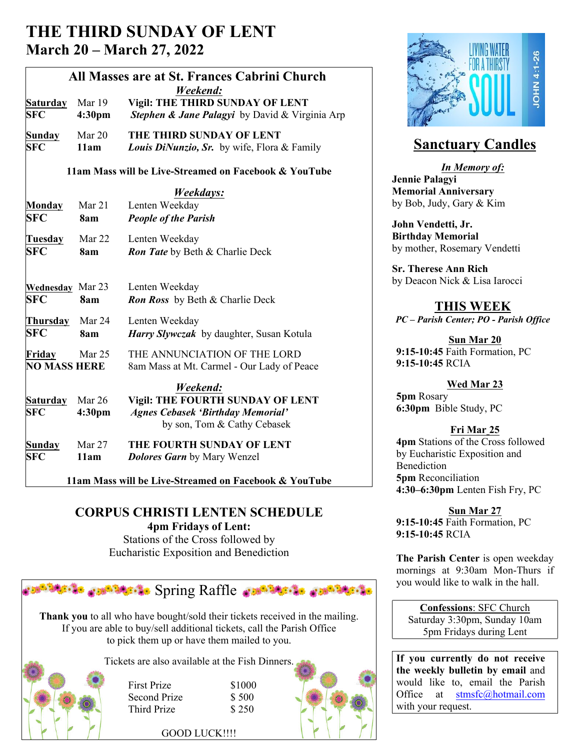# **THE THIRD SUNDAY OF LENT March 20 – March 27, 2022**

| All Masses are at St. Frances Cabrini Church<br>Weekend: |                  |                                                                                                                                |                                              |
|----------------------------------------------------------|------------------|--------------------------------------------------------------------------------------------------------------------------------|----------------------------------------------|
| <b>Saturday</b><br><b>SFC</b>                            | Mar 19<br>4:30pm | Vigil: THE THIRD SUNDAY OF LENT<br>Stephen & Jane Palagyi by David & Virginia Arp                                              |                                              |
| Sunday<br><b>SFC</b>                                     | Mar 20<br>11am   | THE THIRD SUNDAY OF LENT<br><b>Louis DiNunzio, Sr.</b> by wife, Flora & Family                                                 | <b>Sanct</b>                                 |
|                                                          |                  | 11am Mass will be Live-Streamed on Facebook & YouTube                                                                          | In<br><b>Jennie Palagy</b>                   |
| Monday                                                   | Mar 21           | Weekdays:<br>Lenten Weekday                                                                                                    | <b>Memorial An</b><br>by Bob, Judy,          |
| <b>SFC</b>                                               | 8am              | <b>People of the Parish</b>                                                                                                    | <b>John Vendett</b>                          |
| Tuesday<br><b>SFC</b>                                    | Mar 22<br>8am    | Lenten Weekday<br><b>Ron Tate</b> by Beth & Charlie Deck                                                                       | <b>Birthday Me</b><br>by mother, Ro          |
| <b>Wednesday</b> Mar 23                                  |                  | Lenten Weekday                                                                                                                 | <b>Sr. Therese A</b><br>by Deacon Ni         |
| <b>SFC</b><br>Thursday                                   | 8am<br>Mar 24    | <b>Ron Ross</b> by Beth & Charlie Deck<br>Lenten Weekday                                                                       | ТF<br>$PC$ – Parish $C$                      |
| <b>SFC</b><br>Friday<br><b>NO MASS HERE</b>              | 8am<br>Mar 25    | Harry Slywczak by daughter, Susan Kotula<br>THE ANNUNCIATION OF THE LORD<br>8am Mass at Mt. Carmel - Our Lady of Peace         | $9:15-10:45$ F<br>$9:15-10:45$ F             |
| <b>Saturday</b><br><b>SFC</b>                            | Mar 26<br>4:30pm | Weekend:<br><b>Vigil: THE FOURTH SUNDAY OF LENT</b><br><b>Agnes Cebasek 'Birthday Memorial'</b><br>by son, Tom & Cathy Cebasek | 5pm Rosary<br>6:30pm Bib                     |
| Sunday<br><b>SFC</b>                                     | Mar 27<br>11am   | THE FOURTH SUNDAY OF LENT<br><b>Dolores Garn</b> by Mary Wenzel                                                                | 4pm Stations<br>by Eucharisti<br>Benediction |
| 11am Mass will be Live-Streamed on Facebook & YouTube    |                  |                                                                                                                                | 5pm Reconc<br>$4:30-6:30$ nn                 |

**CORPUS CHRISTI LENTEN SCHEDULE 4pm Fridays of Lent:**

Stations of the Cross followed by Eucharistic Exposition and Benediction



**Thank you** to all who have bought/sold their tickets received in the mailing. If you are able to buy/sell additional tickets, call the Parish Office to pick them up or have them mailed to you.



 First Prize \$1000 Second Prize \$ 500 Third Prize \$250





# **Sanctuary Candles**

*In Memory of:* **Jennie Palagyi Memorial Anniversary** by Bob, Judy, Gary & Kim

**John Vendetti, Jr. Birthday Memorial** by mother, Rosemary Vendetti

**Sr. Therese Ann Rich** by Deacon Nick & Lisa Iarocci

# **THIS WEEK**

*PC – Parish Center; PO - Parish Office*

**Sun Mar 20 9:15-10:45** Faith Formation, PC **9:15-10:45** RCIA

## **Wed Mar 23**

**5pm** Rosary **6:30pm** Bible Study, PC

## **Fri Mar 25**

**4pm** Stations of the Cross followed by Eucharistic Exposition and Benediction **5pm** Reconciliation **4:30–6:30pm** Lenten Fish Fry, PC

**Sun Mar 27 9:15-10:45** Faith Formation, PC **9:15-10:45** RCIA

**The Parish Center** is open weekday mornings at 9:30am Mon-Thurs if you would like to walk in the hall.

**Confessions**: SFC Church Saturday 3:30pm, Sunday 10am 5pm Fridays during Lent

**If you currently do not receive the weekly bulletin by email** and would like to, email the Parish Office at stmsfc@hotmail.com with your request.

GOOD LUCK!!!!